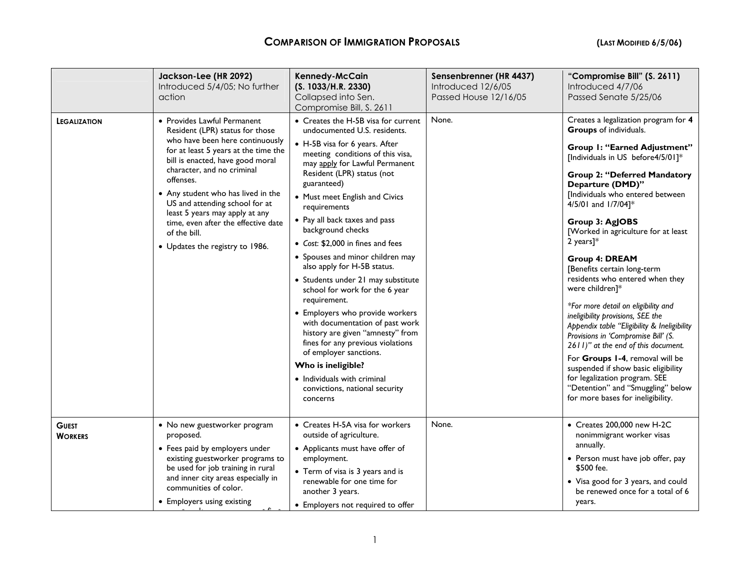|                                | Jackson-Lee (HR 2092)<br>Introduced 5/4/05; No further<br>action                                                                                                                                                                                                                                                                                                                                                             | Kennedy-McCain<br>(S. 1033/H.R. 2330)<br>Collapsed into Sen.<br>Compromise Bill, S. 2611                                                                                                                                                                                                                                                                                                                                                                                                                                                                                                                                                                                                                                                                                                                     | Sensenbrenner (HR 4437)<br>Introduced 12/6/05<br>Passed House 12/16/05 | "Compromise Bill" (S. 2611)<br>Introduced 4/7/06<br>Passed Senate 5/25/06                                                                                                                                                                                                                                                                                                                                                                                                                                                                                                                                                                                                                                                                                                                                                                       |
|--------------------------------|------------------------------------------------------------------------------------------------------------------------------------------------------------------------------------------------------------------------------------------------------------------------------------------------------------------------------------------------------------------------------------------------------------------------------|--------------------------------------------------------------------------------------------------------------------------------------------------------------------------------------------------------------------------------------------------------------------------------------------------------------------------------------------------------------------------------------------------------------------------------------------------------------------------------------------------------------------------------------------------------------------------------------------------------------------------------------------------------------------------------------------------------------------------------------------------------------------------------------------------------------|------------------------------------------------------------------------|-------------------------------------------------------------------------------------------------------------------------------------------------------------------------------------------------------------------------------------------------------------------------------------------------------------------------------------------------------------------------------------------------------------------------------------------------------------------------------------------------------------------------------------------------------------------------------------------------------------------------------------------------------------------------------------------------------------------------------------------------------------------------------------------------------------------------------------------------|
| <b>LEGALIZATION</b>            | • Provides Lawful Permanent<br>Resident (LPR) status for those<br>who have been here continuously<br>for at least 5 years at the time the<br>bill is enacted, have good moral<br>character, and no criminal<br>offenses.<br>• Any student who has lived in the<br>US and attending school for at<br>least 5 years may apply at any<br>time, even after the effective date<br>of the bill.<br>• Updates the registry to 1986. | • Creates the H-5B visa for current<br>undocumented U.S. residents.<br>• H-5B visa for 6 years. After<br>meeting conditions of this visa,<br>may apply for Lawful Permanent<br>Resident (LPR) status (not<br>guaranteed)<br>• Must meet English and Civics<br>requirements<br>• Pay all back taxes and pass<br>background checks<br>• Cost: \$2,000 in fines and fees<br>• Spouses and minor children may<br>also apply for H-5B status.<br>• Students under 21 may substitute<br>school for work for the 6 year<br>requirement.<br>• Employers who provide workers<br>with documentation of past work<br>history are given "amnesty" from<br>fines for any previous violations<br>of employer sanctions.<br>Who is ineligible?<br>• Individuals with criminal<br>convictions, national security<br>concerns | None.                                                                  | Creates a legalization program for 4<br>Groups of individuals.<br>Group I: "Earned Adjustment"<br>[Individuals in US before4/5/01]*<br><b>Group 2: "Deferred Mandatory</b><br>Departure (DMD)"<br>[Individuals who entered between<br>4/5/01 and 1/7/04]*<br>Group 3: AgJOBS<br>[Worked in agriculture for at least<br>2 years] $*$<br><b>Group 4: DREAM</b><br>[Benefits certain long-term<br>residents who entered when they<br>were children]*<br>*For more detail on eligibility and<br>ineligibility provisions, SEE the<br>Appendix table "Eligibility & Ineligibility<br>Provisions in 'Compromise Bill' (S.<br>2611)" at the end of this document.<br>For Groups 1-4, removal will be<br>suspended if show basic eligibility<br>for legalization program. SEE<br>"Detention" and "Smuggling" below<br>for more bases for ineligibility. |
| <b>GUEST</b><br><b>WORKERS</b> | • No new guestworker program<br>proposed.<br>• Fees paid by employers under<br>existing guestworker programs to<br>be used for job training in rural<br>and inner city areas especially in<br>communities of color.<br>• Employers using existing                                                                                                                                                                            | • Creates H-5A visa for workers<br>outside of agriculture.<br>• Applicants must have offer of<br>employment.<br>• Term of visa is 3 years and is<br>renewable for one time for<br>another 3 years.<br>• Employers not required to offer                                                                                                                                                                                                                                                                                                                                                                                                                                                                                                                                                                      | None.                                                                  | • Creates 200,000 new H-2C<br>nonimmigrant worker visas<br>annually.<br>• Person must have job offer, pay<br>\$500 fee.<br>• Visa good for 3 years, and could<br>be renewed once for a total of 6<br>years.                                                                                                                                                                                                                                                                                                                                                                                                                                                                                                                                                                                                                                     |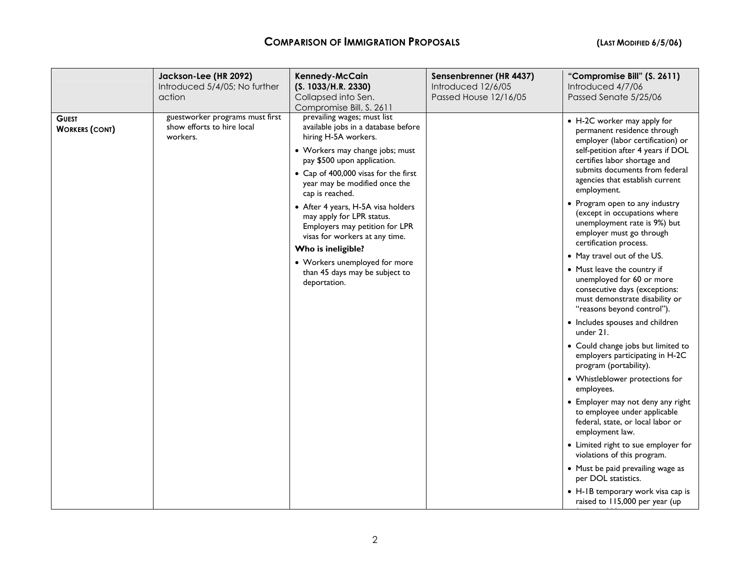|                                       | Jackson-Lee (HR 2092)<br>Introduced 5/4/05; No further<br>action          | <b>Kennedy-McCain</b><br>(S. 1033/H.R. 2330)<br>Collapsed into Sen.<br>Compromise Bill, S. 2611                                                                                                                                                                                                                                                                                                                                                                                                          | Sensenbrenner (HR 4437)<br>Introduced 12/6/05<br>Passed House 12/16/05 | "Compromise Bill" (S. 2611)<br>Introduced 4/7/06<br>Passed Senate 5/25/06                                                                                                                                                                                                                                                                                                                                                                                                                                                                                                                                                                                                                                                                                                                                                                                                                                                                                                                                                                                                                                                                               |
|---------------------------------------|---------------------------------------------------------------------------|----------------------------------------------------------------------------------------------------------------------------------------------------------------------------------------------------------------------------------------------------------------------------------------------------------------------------------------------------------------------------------------------------------------------------------------------------------------------------------------------------------|------------------------------------------------------------------------|---------------------------------------------------------------------------------------------------------------------------------------------------------------------------------------------------------------------------------------------------------------------------------------------------------------------------------------------------------------------------------------------------------------------------------------------------------------------------------------------------------------------------------------------------------------------------------------------------------------------------------------------------------------------------------------------------------------------------------------------------------------------------------------------------------------------------------------------------------------------------------------------------------------------------------------------------------------------------------------------------------------------------------------------------------------------------------------------------------------------------------------------------------|
| <b>GUEST</b><br><b>WORKERS (CONT)</b> | guestworker programs must first<br>show efforts to hire local<br>workers. | prevailing wages; must list<br>available jobs in a database before<br>hiring H-5A workers.<br>• Workers may change jobs; must<br>pay \$500 upon application.<br>• Cap of 400,000 visas for the first<br>year may be modified once the<br>cap is reached.<br>• After 4 years, H-5A visa holders<br>may apply for LPR status.<br>Employers may petition for LPR<br>visas for workers at any time.<br>Who is ineligible?<br>• Workers unemployed for more<br>than 45 days may be subject to<br>deportation. |                                                                        | • H-2C worker may apply for<br>permanent residence through<br>employer (labor certification) or<br>self-petition after 4 years if DOL<br>certifies labor shortage and<br>submits documents from federal<br>agencies that establish current<br>employment.<br>• Program open to any industry<br>(except in occupations where<br>unemployment rate is 9%) but<br>employer must go through<br>certification process.<br>• May travel out of the US.<br>• Must leave the country if<br>unemployed for 60 or more<br>consecutive days (exceptions:<br>must demonstrate disability or<br>"reasons beyond control").<br>• Includes spouses and children<br>under 21.<br>• Could change jobs but limited to<br>employers participating in H-2C<br>program (portability).<br>• Whistleblower protections for<br>employees.<br>• Employer may not deny any right<br>to employee under applicable<br>federal, state, or local labor or<br>employment law.<br>• Limited right to sue employer for<br>violations of this program.<br>• Must be paid prevailing wage as<br>per DOL statistics.<br>• H-IB temporary work visa cap is<br>raised to 115,000 per year (up |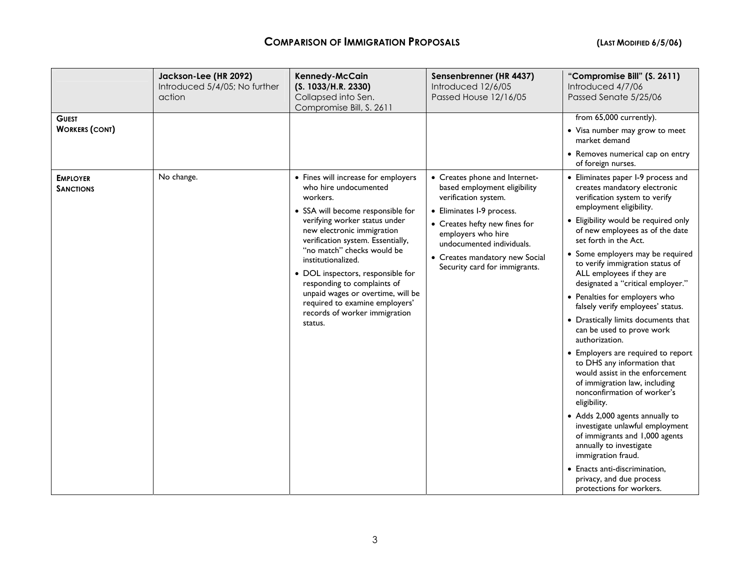| <b>GUEST</b>                        | Jackson-Lee (HR 2092)<br>Introduced 5/4/05; No further<br>action | <b>Kennedy-McCain</b><br>(S. 1033/H.R. 2330)<br>Collapsed into Sen.<br>Compromise Bill, S. 2611                                                                                                                                                                                                                                                                                                                                                              | Sensenbrenner (HR 4437)<br>Introduced 12/6/05<br>Passed House 12/16/05                                                                                                                                                                                                    | "Compromise Bill" (S. 2611)<br>Introduced 4/7/06<br>Passed Senate 5/25/06<br>from 65,000 currently).                                                                                                                                                                                                                                                                                                                                                                                                                                                                                                                                                                                                                                                                                                                                                                                                                                                                              |
|-------------------------------------|------------------------------------------------------------------|--------------------------------------------------------------------------------------------------------------------------------------------------------------------------------------------------------------------------------------------------------------------------------------------------------------------------------------------------------------------------------------------------------------------------------------------------------------|---------------------------------------------------------------------------------------------------------------------------------------------------------------------------------------------------------------------------------------------------------------------------|-----------------------------------------------------------------------------------------------------------------------------------------------------------------------------------------------------------------------------------------------------------------------------------------------------------------------------------------------------------------------------------------------------------------------------------------------------------------------------------------------------------------------------------------------------------------------------------------------------------------------------------------------------------------------------------------------------------------------------------------------------------------------------------------------------------------------------------------------------------------------------------------------------------------------------------------------------------------------------------|
| <b>WORKERS (CONT)</b>               |                                                                  |                                                                                                                                                                                                                                                                                                                                                                                                                                                              |                                                                                                                                                                                                                                                                           | • Visa number may grow to meet<br>market demand                                                                                                                                                                                                                                                                                                                                                                                                                                                                                                                                                                                                                                                                                                                                                                                                                                                                                                                                   |
|                                     |                                                                  |                                                                                                                                                                                                                                                                                                                                                                                                                                                              |                                                                                                                                                                                                                                                                           | • Removes numerical cap on entry<br>of foreign nurses.                                                                                                                                                                                                                                                                                                                                                                                                                                                                                                                                                                                                                                                                                                                                                                                                                                                                                                                            |
| <b>EMPLOYER</b><br><b>SANCTIONS</b> | No change.                                                       | • Fines will increase for employers<br>who hire undocumented<br>workers.<br>· SSA will become responsible for<br>verifying worker status under<br>new electronic immigration<br>verification system. Essentially,<br>"no match" checks would be<br>institutionalized.<br>• DOL inspectors, responsible for<br>responding to complaints of<br>unpaid wages or overtime, will be<br>required to examine employers'<br>records of worker immigration<br>status. | • Creates phone and Internet-<br>based employment eligibility<br>verification system.<br>• Eliminates I-9 process.<br>• Creates hefty new fines for<br>employers who hire<br>undocumented individuals.<br>• Creates mandatory new Social<br>Security card for immigrants. | • Eliminates paper I-9 process and<br>creates mandatory electronic<br>verification system to verify<br>employment eligibility.<br>• Eligibility would be required only<br>of new employees as of the date<br>set forth in the Act.<br>• Some employers may be required<br>to verify immigration status of<br>ALL employees if they are<br>designated a "critical employer."<br>• Penalties for employers who<br>falsely verify employees' status.<br>• Drastically limits documents that<br>can be used to prove work<br>authorization.<br>• Employers are required to report<br>to DHS any information that<br>would assist in the enforcement<br>of immigration law, including<br>nonconfirmation of worker's<br>eligibility.<br>• Adds 2,000 agents annually to<br>investigate unlawful employment<br>of immigrants and 1,000 agents<br>annually to investigate<br>immigration fraud.<br>• Enacts anti-discrimination,<br>privacy, and due process<br>protections for workers. |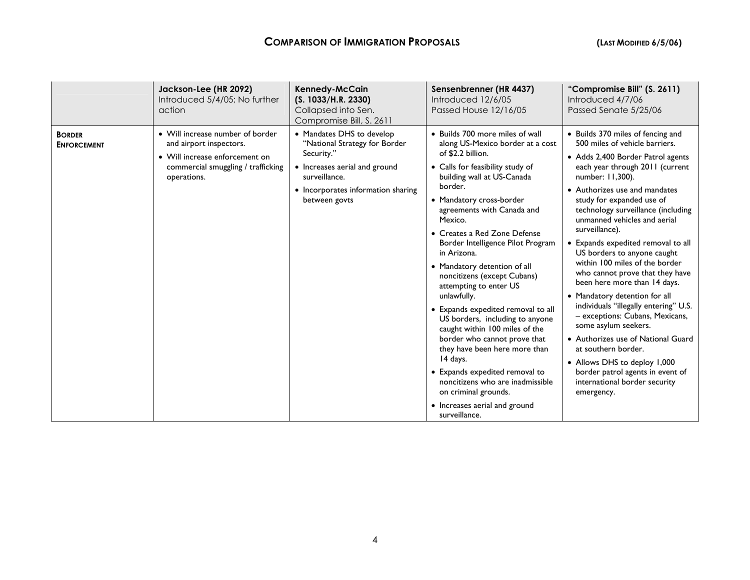|                                     | Jackson-Lee (HR 2092)<br>Introduced 5/4/05; No further<br>action                                                                                   | Kennedy-McCain<br>(S. 1033/H.R. 2330)<br>Collapsed into Sen.<br>Compromise Bill, S. 2611                                                                                          | Sensenbrenner (HR 4437)<br>Introduced 12/6/05<br>Passed House 12/16/05                                                                                                                                                                                                                                                                                                                                                                                                                                                                                                                                                                                                                                                                                                         | "Compromise Bill" (S. 2611)<br>Introduced 4/7/06<br>Passed Senate 5/25/06                                                                                                                                                                                                                                                                                                                                                                                                                                                                                                                                                                                                                                                                                                                                            |
|-------------------------------------|----------------------------------------------------------------------------------------------------------------------------------------------------|-----------------------------------------------------------------------------------------------------------------------------------------------------------------------------------|--------------------------------------------------------------------------------------------------------------------------------------------------------------------------------------------------------------------------------------------------------------------------------------------------------------------------------------------------------------------------------------------------------------------------------------------------------------------------------------------------------------------------------------------------------------------------------------------------------------------------------------------------------------------------------------------------------------------------------------------------------------------------------|----------------------------------------------------------------------------------------------------------------------------------------------------------------------------------------------------------------------------------------------------------------------------------------------------------------------------------------------------------------------------------------------------------------------------------------------------------------------------------------------------------------------------------------------------------------------------------------------------------------------------------------------------------------------------------------------------------------------------------------------------------------------------------------------------------------------|
| <b>BORDER</b><br><b>ENFORCEMENT</b> | • Will increase number of border<br>and airport inspectors.<br>• Will increase enforcement on<br>commercial smuggling / trafficking<br>operations. | • Mandates DHS to develop<br>"National Strategy for Border<br>Security."<br>• Increases aerial and ground<br>surveillance.<br>• Incorporates information sharing<br>between govts | • Builds 700 more miles of wall<br>along US-Mexico border at a cost<br>of \$2.2 billion.<br>• Calls for feasibility study of<br>building wall at US-Canada<br>border.<br>• Mandatory cross-border<br>agreements with Canada and<br>Mexico.<br>• Creates a Red Zone Defense<br>Border Intelligence Pilot Program<br>in Arizona.<br>• Mandatory detention of all<br>noncitizens (except Cubans)<br>attempting to enter US<br>unlawfully.<br>• Expands expedited removal to all<br>US borders, including to anyone<br>caught within 100 miles of the<br>border who cannot prove that<br>they have been here more than<br>14 days.<br>• Expands expedited removal to<br>noncitizens who are inadmissible<br>on criminal grounds.<br>• Increases aerial and ground<br>surveillance. | • Builds 370 miles of fencing and<br>500 miles of vehicle barriers.<br>• Adds 2,400 Border Patrol agents<br>each year through 2011 (current<br>number: 11,300).<br>• Authorizes use and mandates<br>study for expanded use of<br>technology surveillance (including<br>unmanned vehicles and aerial<br>surveillance).<br>• Expands expedited removal to all<br>US borders to anyone caught<br>within 100 miles of the border<br>who cannot prove that they have<br>been here more than 14 days.<br>• Mandatory detention for all<br>individuals "illegally entering" U.S.<br>- exceptions: Cubans, Mexicans,<br>some asylum seekers.<br>• Authorizes use of National Guard<br>at southern border.<br>• Allows DHS to deploy 1,000<br>border patrol agents in event of<br>international border security<br>emergency. |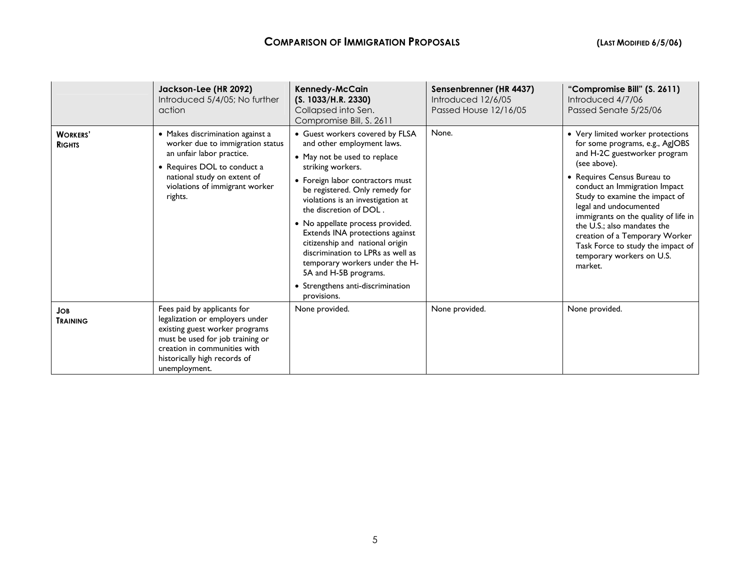|                                  | Jackson-Lee (HR 2092)<br>Introduced 5/4/05; No further<br>action                                                                                                                                                      | Kennedy-McCain<br>(S. 1033/H.R. 2330)<br>Collapsed into Sen.<br>Compromise Bill, S. 2611                                                                                                                                                                                                                                                                                                                                                                                                                            | Sensenbrenner (HR 4437)<br>Introduced 12/6/05<br>Passed House 12/16/05 | "Compromise Bill" (S. 2611)<br>Introduced 4/7/06<br>Passed Senate 5/25/06                                                                                                                                                                                                                                                                                                                                                              |
|----------------------------------|-----------------------------------------------------------------------------------------------------------------------------------------------------------------------------------------------------------------------|---------------------------------------------------------------------------------------------------------------------------------------------------------------------------------------------------------------------------------------------------------------------------------------------------------------------------------------------------------------------------------------------------------------------------------------------------------------------------------------------------------------------|------------------------------------------------------------------------|----------------------------------------------------------------------------------------------------------------------------------------------------------------------------------------------------------------------------------------------------------------------------------------------------------------------------------------------------------------------------------------------------------------------------------------|
| <b>WORKERS'</b><br><b>RIGHTS</b> | • Makes discrimination against a<br>worker due to immigration status<br>an unfair labor practice.<br>• Requires DOL to conduct a<br>national study on extent of<br>violations of immigrant worker<br>rights.          | • Guest workers covered by FLSA<br>and other employment laws.<br>• May not be used to replace<br>striking workers.<br>• Foreign labor contractors must<br>be registered. Only remedy for<br>violations is an investigation at<br>the discretion of DOL.<br>• No appellate process provided.<br>Extends INA protections against<br>citizenship and national origin<br>discrimination to LPRs as well as<br>temporary workers under the H-<br>5A and H-5B programs.<br>Strengthens anti-discrimination<br>provisions. | None.                                                                  | • Very limited worker protections<br>for some programs, e.g., AgJOBS<br>and H-2C guestworker program<br>(see above).<br>• Requires Census Bureau to<br>conduct an Immigration Impact<br>Study to examine the impact of<br>legal and undocumented<br>immigrants on the quality of life in<br>the U.S.; also mandates the<br>creation of a Temporary Worker<br>Task Force to study the impact of<br>temporary workers on U.S.<br>market. |
| <b>JOB</b><br><b>TRAINING</b>    | Fees paid by applicants for<br>legalization or employers under<br>existing guest worker programs<br>must be used for job training or<br>creation in communities with<br>historically high records of<br>unemployment. | None provided.                                                                                                                                                                                                                                                                                                                                                                                                                                                                                                      | None provided.                                                         | None provided.                                                                                                                                                                                                                                                                                                                                                                                                                         |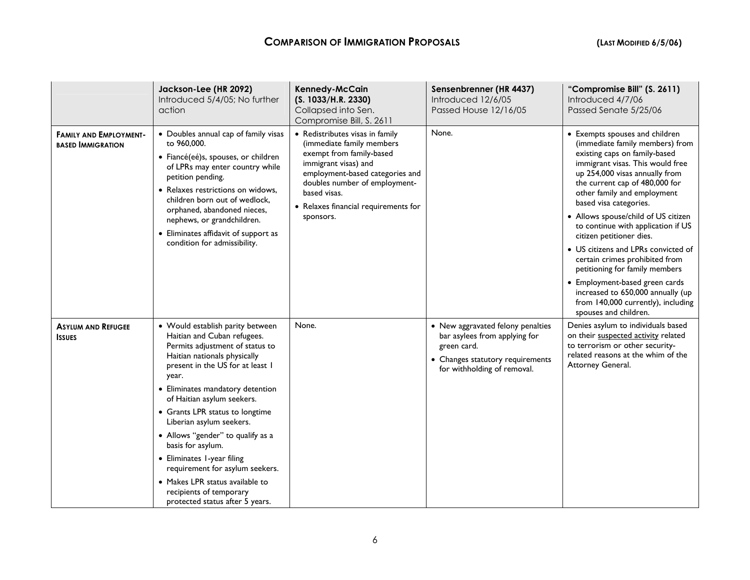|                                                           | Jackson-Lee (HR 2092)<br>Introduced 5/4/05; No further<br>action                                                                                                                                                                                                                                                                                                                                                                                                                                                                             | Kennedy-McCain<br>(S. 1033/H.R. 2330)<br>Collapsed into Sen.<br>Compromise Bill, S. 2611                                                                                                                                                                  | Sensenbrenner (HR 4437)<br>Introduced 12/6/05<br>Passed House 12/16/05                                                                               | "Compromise Bill" (S. 2611)<br>Introduced 4/7/06<br>Passed Senate 5/25/06                                                                                                                                                                                                                                                                                                                                                                                                                                                                                                                                                     |
|-----------------------------------------------------------|----------------------------------------------------------------------------------------------------------------------------------------------------------------------------------------------------------------------------------------------------------------------------------------------------------------------------------------------------------------------------------------------------------------------------------------------------------------------------------------------------------------------------------------------|-----------------------------------------------------------------------------------------------------------------------------------------------------------------------------------------------------------------------------------------------------------|------------------------------------------------------------------------------------------------------------------------------------------------------|-------------------------------------------------------------------------------------------------------------------------------------------------------------------------------------------------------------------------------------------------------------------------------------------------------------------------------------------------------------------------------------------------------------------------------------------------------------------------------------------------------------------------------------------------------------------------------------------------------------------------------|
| <b>FAMILY AND EMPLOYMENT-</b><br><b>BASED IMMIGRATION</b> | • Doubles annual cap of family visas<br>to 960,000.<br>· Fiancé(eé)s, spouses, or children<br>of LPRs may enter country while<br>petition pending.<br>• Relaxes restrictions on widows,<br>children born out of wedlock.<br>orphaned, abandoned nieces,<br>nephews, or grandchildren.<br>• Eliminates affidavit of support as<br>condition for admissibility.                                                                                                                                                                                | • Redistributes visas in family<br>(immediate family members<br>exempt from family-based<br>immigrant visas) and<br>employment-based categories and<br>doubles number of employment-<br>based visas.<br>• Relaxes financial requirements for<br>sponsors. | None.                                                                                                                                                | • Exempts spouses and children<br>(immediate family members) from<br>existing caps on family-based<br>immigrant visas. This would free<br>up 254,000 visas annually from<br>the current cap of 480,000 for<br>other family and employment<br>based visa categories.<br>• Allows spouse/child of US citizen<br>to continue with application if US<br>citizen petitioner dies.<br>• US citizens and LPRs convicted of<br>certain crimes prohibited from<br>petitioning for family members<br>• Employment-based green cards<br>increased to 650,000 annually (up<br>from 140,000 currently), including<br>spouses and children. |
| <b>ASYLUM AND REFUGEE</b><br><b>ISSUES</b>                | • Would establish parity between<br>Haitian and Cuban refugees.<br>Permits adjustment of status to<br>Haitian nationals physically<br>present in the US for at least I<br>year.<br>• Eliminates mandatory detention<br>of Haitian asylum seekers.<br>• Grants LPR status to longtime<br>Liberian asylum seekers.<br>• Allows "gender" to qualify as a<br>basis for asylum.<br>• Eliminates I-year filing<br>requirement for asylum seekers.<br>• Makes LPR status available to<br>recipients of temporary<br>protected status after 5 years. | None.                                                                                                                                                                                                                                                     | • New aggravated felony penalties<br>bar asylees from applying for<br>green card.<br>• Changes statutory requirements<br>for withholding of removal. | Denies asylum to individuals based<br>on their suspected activity related<br>to terrorism or other security-<br>related reasons at the whim of the<br>Attorney General.                                                                                                                                                                                                                                                                                                                                                                                                                                                       |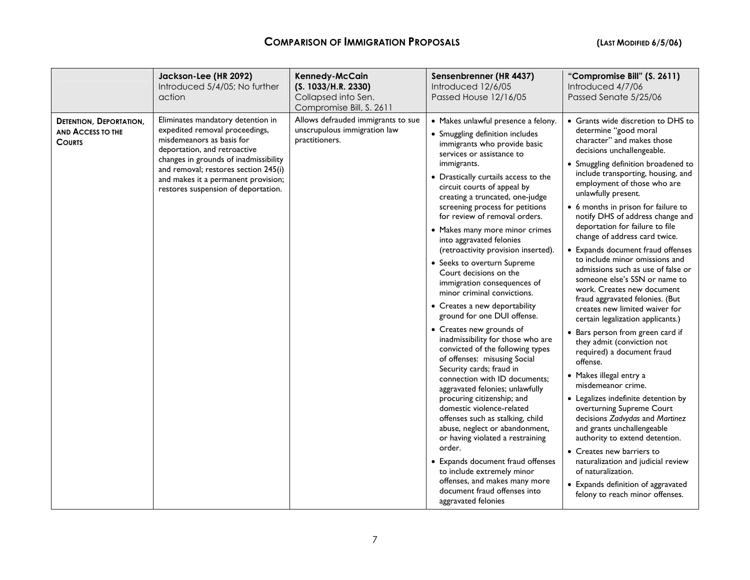|                                                                      | Jackson-Lee (HR 2092)<br>Introduced 5/4/05; No further<br>action                                                                                                                                                                                                                                | <b>Kennedy-McCain</b><br>(S. 1033/H.R. 2330)<br>Collapsed into Sen.<br>Compromise Bill, S. 2611 | Sensenbrenner (HR 4437)<br>Introduced 12/6/05<br>Passed House 12/16/05                                                                                                                                                                                                                                                                                                                                                                                                                                                                                                                                                                                                                                                                                                                                                                                                                                                                                                                                                                                                                                                                                                                                      | "Compromise Bill" (S. 2611)<br>Introduced 4/7/06<br>Passed Senate 5/25/06                                                                                                                                                                                                                                                                                                                                                                                                                                                                                                                                                                                                                                                                                                                                                                                                                                                                                                                                                                                                                                                                                                                             |
|----------------------------------------------------------------------|-------------------------------------------------------------------------------------------------------------------------------------------------------------------------------------------------------------------------------------------------------------------------------------------------|-------------------------------------------------------------------------------------------------|-------------------------------------------------------------------------------------------------------------------------------------------------------------------------------------------------------------------------------------------------------------------------------------------------------------------------------------------------------------------------------------------------------------------------------------------------------------------------------------------------------------------------------------------------------------------------------------------------------------------------------------------------------------------------------------------------------------------------------------------------------------------------------------------------------------------------------------------------------------------------------------------------------------------------------------------------------------------------------------------------------------------------------------------------------------------------------------------------------------------------------------------------------------------------------------------------------------|-------------------------------------------------------------------------------------------------------------------------------------------------------------------------------------------------------------------------------------------------------------------------------------------------------------------------------------------------------------------------------------------------------------------------------------------------------------------------------------------------------------------------------------------------------------------------------------------------------------------------------------------------------------------------------------------------------------------------------------------------------------------------------------------------------------------------------------------------------------------------------------------------------------------------------------------------------------------------------------------------------------------------------------------------------------------------------------------------------------------------------------------------------------------------------------------------------|
| <b>DETENTION, DEPORTATION,</b><br>AND ACCESS TO THE<br><b>COURTS</b> | Eliminates mandatory detention in<br>expedited removal proceedings,<br>misdemeanors as basis for<br>deportation, and retroactive<br>changes in grounds of inadmissibility<br>and removal; restores section 245(i)<br>and makes it a permanent provision;<br>restores suspension of deportation. | Allows defrauded immigrants to sue<br>unscrupulous immigration law<br>practitioners.            | · Makes unlawful presence a felony.<br>• Smuggling definition includes<br>immigrants who provide basic<br>services or assistance to<br>immigrants.<br>• Drastically curtails access to the<br>circuit courts of appeal by<br>creating a truncated, one-judge<br>screening process for petitions<br>for review of removal orders.<br>• Makes many more minor crimes<br>into aggravated felonies<br>(retroactivity provision inserted).<br>• Seeks to overturn Supreme<br>Court decisions on the<br>immigration consequences of<br>minor criminal convictions.<br>• Creates a new deportability<br>ground for one DUI offense.<br>• Creates new grounds of<br>inadmissibility for those who are<br>convicted of the following types<br>of offenses: misusing Social<br>Security cards; fraud in<br>connection with ID documents;<br>aggravated felonies; unlawfully<br>procuring citizenship; and<br>domestic violence-related<br>offenses such as stalking, child<br>abuse, neglect or abandonment,<br>or having violated a restraining<br>order.<br>• Expands document fraud offenses<br>to include extremely minor<br>offenses, and makes many more<br>document fraud offenses into<br>aggravated felonies | • Grants wide discretion to DHS to<br>determine "good moral<br>character" and makes those<br>decisions unchallengeable.<br>• Smuggling definition broadened to<br>include transporting, housing, and<br>employment of those who are<br>unlawfully present.<br>• 6 months in prison for failure to<br>notify DHS of address change and<br>deportation for failure to file<br>change of address card twice.<br>• Expands document fraud offenses<br>to include minor omissions and<br>admissions such as use of false or<br>someone else's SSN or name to<br>work. Creates new document<br>fraud aggravated felonies. (But<br>creates new limited waiver for<br>certain legalization applicants.)<br>• Bars person from green card if<br>they admit (conviction not<br>required) a document fraud<br>offense.<br>• Makes illegal entry a<br>misdemeanor crime.<br>• Legalizes indefinite detention by<br>overturning Supreme Court<br>decisions Zadvydas and Martinez<br>and grants unchallengeable<br>authority to extend detention.<br>• Creates new barriers to<br>naturalization and judicial review<br>of naturalization.<br>• Expands definition of aggravated<br>felony to reach minor offenses. |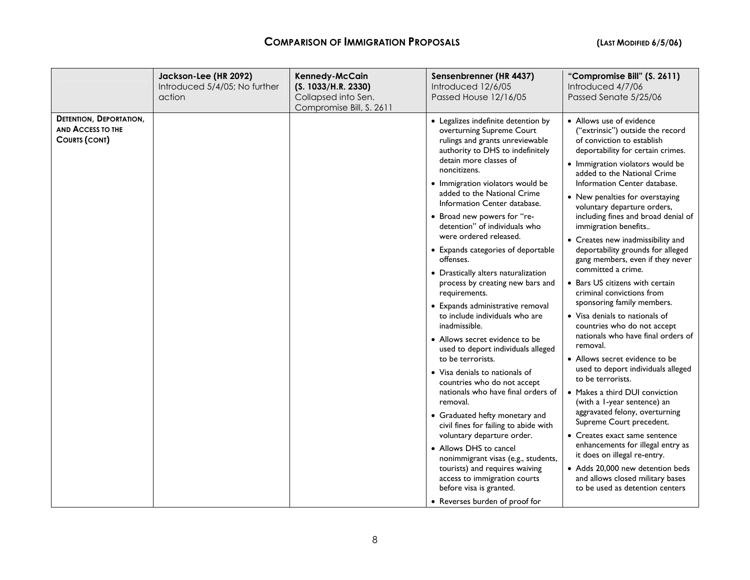|                                                                             | Jackson-Lee (HR 2092)<br>Introduced 5/4/05; No further<br>action | <b>Kennedy-McCain</b><br>(S. 1033/H.R. 2330)<br>Collapsed into Sen.<br>Compromise Bill, S. 2611 | Sensenbrenner (HR 4437)<br>Introduced 12/6/05<br>Passed House 12/16/05                                                                                                                                                                                                                                                                                                                                                                                                                                                                                                                                                                                                                                                                                                                                                                                                                                                                                                                                                                                                                                                                        | "Compromise Bill" (S. 2611)<br>Introduced 4/7/06<br>Passed Senate 5/25/06                                                                                                                                                                                                                                                                                                                                                                                                                                                                                                                                                                                                                                                                                                                                                                                                                                                                                                                                                                                                                                                                                             |
|-----------------------------------------------------------------------------|------------------------------------------------------------------|-------------------------------------------------------------------------------------------------|-----------------------------------------------------------------------------------------------------------------------------------------------------------------------------------------------------------------------------------------------------------------------------------------------------------------------------------------------------------------------------------------------------------------------------------------------------------------------------------------------------------------------------------------------------------------------------------------------------------------------------------------------------------------------------------------------------------------------------------------------------------------------------------------------------------------------------------------------------------------------------------------------------------------------------------------------------------------------------------------------------------------------------------------------------------------------------------------------------------------------------------------------|-----------------------------------------------------------------------------------------------------------------------------------------------------------------------------------------------------------------------------------------------------------------------------------------------------------------------------------------------------------------------------------------------------------------------------------------------------------------------------------------------------------------------------------------------------------------------------------------------------------------------------------------------------------------------------------------------------------------------------------------------------------------------------------------------------------------------------------------------------------------------------------------------------------------------------------------------------------------------------------------------------------------------------------------------------------------------------------------------------------------------------------------------------------------------|
| <b>DETENTION, DEPORTATION,</b><br>AND ACCESS TO THE<br><b>COURTS (CONT)</b> |                                                                  |                                                                                                 | • Legalizes indefinite detention by<br>overturning Supreme Court<br>rulings and grants unreviewable<br>authority to DHS to indefinitely<br>detain more classes of<br>noncitizens.<br>· Immigration violators would be<br>added to the National Crime<br>Information Center database.<br>• Broad new powers for "re-<br>detention" of individuals who<br>were ordered released.<br>• Expands categories of deportable<br>offenses.<br>• Drastically alters naturalization<br>process by creating new bars and<br>requirements.<br>• Expands administrative removal<br>to include individuals who are<br>inadmissible.<br>• Allows secret evidence to be<br>used to deport individuals alleged<br>to be terrorists.<br>• Visa denials to nationals of<br>countries who do not accept<br>nationals who have final orders of<br>removal.<br>• Graduated hefty monetary and<br>civil fines for failing to abide with<br>voluntary departure order.<br>• Allows DHS to cancel<br>nonimmigrant visas (e.g., students,<br>tourists) and requires waiving<br>access to immigration courts<br>before visa is granted.<br>• Reverses burden of proof for | • Allows use of evidence<br>("extrinsic") outside the record<br>of conviction to establish<br>deportability for certain crimes.<br>· Immigration violators would be<br>added to the National Crime<br>Information Center database.<br>• New penalties for overstaying<br>voluntary departure orders,<br>including fines and broad denial of<br>immigration benefits<br>• Creates new inadmissibility and<br>deportability grounds for alleged<br>gang members, even if they never<br>committed a crime.<br>• Bars US citizens with certain<br>criminal convictions from<br>sponsoring family members.<br>• Visa denials to nationals of<br>countries who do not accept<br>nationals who have final orders of<br>removal.<br>• Allows secret evidence to be<br>used to deport individuals alleged<br>to be terrorists.<br>• Makes a third DUI conviction<br>(with a 1-year sentence) an<br>aggravated felony, overturning<br>Supreme Court precedent.<br>• Creates exact same sentence<br>enhancements for illegal entry as<br>it does on illegal re-entry.<br>• Adds 20,000 new detention beds<br>and allows closed military bases<br>to be used as detention centers |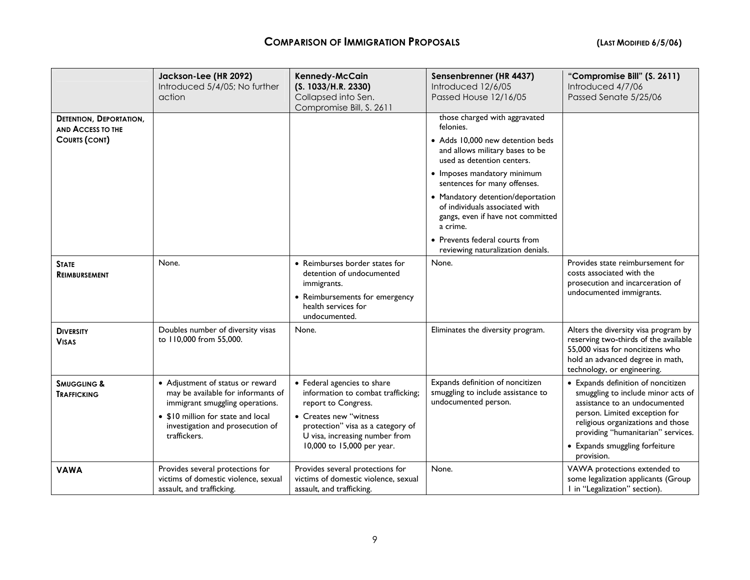|                                                                                    | Jackson-Lee (HR 2092)<br>Introduced 5/4/05; No further<br>action                                                                                                                                    | Kennedy-McCain<br>(S. 1033/H.R. 2330)<br>Collapsed into Sen.<br>Compromise Bill, S. 2611                                                                                                                                | Sensenbrenner (HR 4437)<br>Introduced 12/6/05<br>Passed House 12/16/05                                                                                                                                                                                                                                                                                                                                        | "Compromise Bill" (S. 2611)<br>Introduced 4/7/06<br>Passed Senate 5/25/06                                                                                                                                                                                             |
|------------------------------------------------------------------------------------|-----------------------------------------------------------------------------------------------------------------------------------------------------------------------------------------------------|-------------------------------------------------------------------------------------------------------------------------------------------------------------------------------------------------------------------------|---------------------------------------------------------------------------------------------------------------------------------------------------------------------------------------------------------------------------------------------------------------------------------------------------------------------------------------------------------------------------------------------------------------|-----------------------------------------------------------------------------------------------------------------------------------------------------------------------------------------------------------------------------------------------------------------------|
| <b>DETENTION, DEPORTATION,</b><br><b>AND ACCESS TO THE</b><br><b>COURTS (CONT)</b> |                                                                                                                                                                                                     |                                                                                                                                                                                                                         | those charged with aggravated<br>felonies.<br>• Adds 10.000 new detention beds<br>and allows military bases to be<br>used as detention centers.<br>• Imposes mandatory minimum<br>sentences for many offenses.<br>• Mandatory detention/deportation<br>of individuals associated with<br>gangs, even if have not committed<br>a crime.<br>• Prevents federal courts from<br>reviewing naturalization denials. |                                                                                                                                                                                                                                                                       |
| <b>STATE</b><br><b>REIMBURSEMENT</b>                                               | None.                                                                                                                                                                                               | • Reimburses border states for<br>detention of undocumented<br>immigrants.<br>• Reimbursements for emergency<br>health services for<br>undocumented.                                                                    | None.                                                                                                                                                                                                                                                                                                                                                                                                         | Provides state reimbursement for<br>costs associated with the<br>prosecution and incarceration of<br>undocumented immigrants.                                                                                                                                         |
| <b>DIVERSITY</b><br><b>VISAS</b>                                                   | Doubles number of diversity visas<br>to 110,000 from 55,000.                                                                                                                                        | None.                                                                                                                                                                                                                   | Eliminates the diversity program.                                                                                                                                                                                                                                                                                                                                                                             | Alters the diversity visa program by<br>reserving two-thirds of the available<br>55,000 visas for noncitizens who<br>hold an advanced degree in math,<br>technology, or engineering.                                                                                  |
| <b>SMUGGLING &amp;</b><br><b>TRAFFICKING</b>                                       | • Adjustment of status or reward<br>may be available for informants of<br>immigrant smuggling operations.<br>• \$10 million for state and local<br>investigation and prosecution of<br>traffickers. | • Federal agencies to share<br>information to combat trafficking;<br>report to Congress.<br>• Creates new "witness<br>protection" visa as a category of<br>U visa, increasing number from<br>10,000 to 15,000 per year. | Expands definition of noncitizen<br>smuggling to include assistance to<br>undocumented person.                                                                                                                                                                                                                                                                                                                | • Expands definition of noncitizen<br>smuggling to include minor acts of<br>assistance to an undocumented<br>person. Limited exception for<br>religious organizations and those<br>providing "humanitarian" services.<br>• Expands smuggling forfeiture<br>provision. |
| <b>VAWA</b>                                                                        | Provides several protections for<br>victims of domestic violence, sexual<br>assault, and trafficking.                                                                                               | Provides several protections for<br>victims of domestic violence, sexual<br>assault, and trafficking.                                                                                                                   | None.                                                                                                                                                                                                                                                                                                                                                                                                         | VAWA protections extended to<br>some legalization applicants (Group<br>I in "Legalization" section).                                                                                                                                                                  |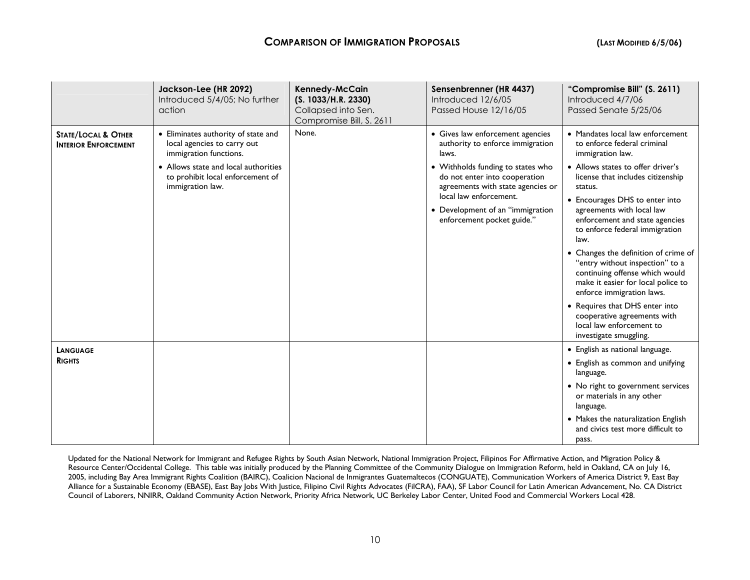|                                                               | Jackson-Lee (HR 2092)<br>Introduced 5/4/05: No further<br>action                                                                                                                             | Kennedy-McCain<br>(S. 1033/H.R. 2330)<br>Collapsed into Sen.<br>Compromise Bill, S. 2611 | Sensenbrenner (HR 4437)<br>Introduced 12/6/05<br><b>Passed House 12/16/05</b>                                                                                                                                                                                                        | "Compromise Bill" (S. 2611)<br>Introduced 4/7/06<br>Passed Senate 5/25/06                                                                                                                                                                                                                                                                                                                                                                                                                                                                                                                                                  |
|---------------------------------------------------------------|----------------------------------------------------------------------------------------------------------------------------------------------------------------------------------------------|------------------------------------------------------------------------------------------|--------------------------------------------------------------------------------------------------------------------------------------------------------------------------------------------------------------------------------------------------------------------------------------|----------------------------------------------------------------------------------------------------------------------------------------------------------------------------------------------------------------------------------------------------------------------------------------------------------------------------------------------------------------------------------------------------------------------------------------------------------------------------------------------------------------------------------------------------------------------------------------------------------------------------|
| <b>STATE/LOCAL &amp; OTHER</b><br><b>INTERIOR ENFORCEMENT</b> | • Eliminates authority of state and<br>local agencies to carry out<br>immigration functions.<br>• Allows state and local authorities<br>to prohibit local enforcement of<br>immigration law. | None.                                                                                    | • Gives law enforcement agencies<br>authority to enforce immigration<br>laws.<br>• Withholds funding to states who<br>do not enter into cooperation<br>agreements with state agencies or<br>local law enforcement.<br>• Development of an "immigration<br>enforcement pocket guide." | • Mandates local law enforcement<br>to enforce federal criminal<br>immigration law.<br>• Allows states to offer driver's<br>license that includes citizenship<br>status.<br>• Encourages DHS to enter into<br>agreements with local law<br>enforcement and state agencies<br>to enforce federal immigration<br>law.<br>• Changes the definition of crime of<br>"entry without inspection" to a<br>continuing offense which would<br>make it easier for local police to<br>enforce immigration laws.<br>• Requires that DHS enter into<br>cooperative agreements with<br>local law enforcement to<br>investigate smuggling. |
| LANGUAGE<br><b>RIGHTS</b>                                     |                                                                                                                                                                                              |                                                                                          |                                                                                                                                                                                                                                                                                      | • English as national language.<br>• English as common and unifying<br>language.<br>• No right to government services<br>or materials in any other<br>language.<br>• Makes the naturalization English<br>and civics test more difficult to<br>pass.                                                                                                                                                                                                                                                                                                                                                                        |

Updated for the National Network for Immigrant and Refugee Rights by South Asian Network, National Immigration Project, Filipinos For Affirmative Action, and Migration Policy & Resource Center/Occidental College. This table was initially produced by the Planning Committee of the Community Dialogue on Immigration Reform, held in Oakland, CA on July 16, 2005, including Bay Area Immigrant Rights Coalition (BAIRC), Coalicion Nacional de Inmigrantes Guatemaltecos (CONGUATE), Communication Workers of America District 9, East Bay Alliance for a Sustainable Economy (EBASE), East Bay Jobs With Justice, Filipino Civil Rights Advocates (FilCRA), FAA), SF Labor Council for Latin American Advancement, No. CA District Council of Laborers, NNIRR, Oakland Community Action Network, Priority Africa Network, UC Berkeley Labor Center, United Food and Commercial Workers Local 428.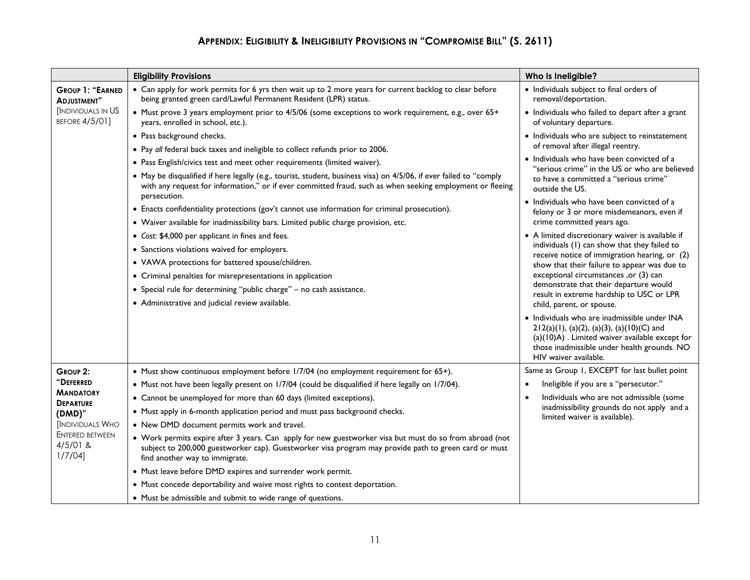# **APPENDIX: ELIGIBILITY & INELIGIBILITY PROVISIONS IN "COMPROMISE BILL" (S. 2611)**

|                                                    | <b>Eligibility Provisions</b>                                                                                                                                                                                                                     | Who Is Ineligible?                                                                                                                                                                                                     |
|----------------------------------------------------|---------------------------------------------------------------------------------------------------------------------------------------------------------------------------------------------------------------------------------------------------|------------------------------------------------------------------------------------------------------------------------------------------------------------------------------------------------------------------------|
| <b>GROUP 1: "EARNED</b><br>ADJUSTMENT"             | • Can apply for work permits for 6 yrs then wait up to 2 more years for current backlog to clear before<br>being granted green card/Lawful Permanent Resident (LPR) status.                                                                       | • Individuals subject to final orders of<br>removal/deportation.                                                                                                                                                       |
| <b>INDIVIDUALS IN US</b><br><b>BEFORE 4/5/01]</b>  | • Must prove 3 years employment prior to 4/5/06 (some exceptions to work requirement, e.g., over 65+<br>years, enrolled in school, etc.).                                                                                                         | • Individuals who failed to depart after a grant<br>of voluntary departure.                                                                                                                                            |
|                                                    | · Pass background checks.                                                                                                                                                                                                                         | · Individuals who are subject to reinstatement                                                                                                                                                                         |
|                                                    | • Pay all federal back taxes and ineligible to collect refunds prior to 2006.                                                                                                                                                                     | of removal after illegal reentry.                                                                                                                                                                                      |
|                                                    | • Pass English/civics test and meet other requirements (limited waiver).                                                                                                                                                                          | • Individuals who have been convicted of a<br>"serious crime" in the US or who are believed                                                                                                                            |
|                                                    | • May be disqualified if here legally (e.g., tourist, student, business visa) on 4/5/06, if ever failed to "comply<br>with any request for information," or if ever committed fraud, such as when seeking employment or fleeing<br>persecution.   | to have a committed a "serious crime"<br>outside the US.                                                                                                                                                               |
|                                                    | • Enacts confidentiality protections (gov't cannot use information for criminal prosecution).                                                                                                                                                     | • Individuals who have been convicted of a<br>felony or 3 or more misdemeanors, even if                                                                                                                                |
|                                                    | • Waiver available for inadmissibility bars. Limited public charge provision, etc.                                                                                                                                                                | crime committed years ago.                                                                                                                                                                                             |
|                                                    | • Cost: \$4,000 per applicant in fines and fees.                                                                                                                                                                                                  | • A limited discretionary waiver is available if                                                                                                                                                                       |
|                                                    | • Sanctions violations waived for employers.                                                                                                                                                                                                      | individuals (1) can show that they failed to                                                                                                                                                                           |
|                                                    | • VAWA protections for battered spouse/children.                                                                                                                                                                                                  | receive notice of immigration hearing, or (2)<br>show that their failure to appear was due to                                                                                                                          |
|                                                    | • Criminal penalties for misrepresentations in application                                                                                                                                                                                        | exceptional circumstances ,or (3) can                                                                                                                                                                                  |
|                                                    | • Special rule for determining "public charge" - no cash assistance.                                                                                                                                                                              | demonstrate that their departure would<br>result in extreme hardship to USC or LPR                                                                                                                                     |
|                                                    | • Administrative and judicial review available.                                                                                                                                                                                                   | child, parent, or spouse.                                                                                                                                                                                              |
|                                                    |                                                                                                                                                                                                                                                   | · Individuals who are inadmissible under INA<br>$212(a)(1)$ , (a)(2), (a)(3), (a)(10)(C) and<br>(a)(10)A). Limited waiver available except for<br>those inadmissible under health grounds. NO<br>HIV waiver available. |
| <b>GROUP 2:</b>                                    | • Must show continuous employment before 1/7/04 (no employment requirement for 65+).                                                                                                                                                              | Same as Group 1, EXCEPT for last bullet point                                                                                                                                                                          |
| "DEFERRED                                          | • Must not have been legally present on 1/7/04 (could be disqualified if here legally on 1/7/04).                                                                                                                                                 | Ineligible if you are a "persecutor."                                                                                                                                                                                  |
| <b>MANDATORY</b><br><b>DEPARTURE</b>               | • Cannot be unemployed for more than 60 days (limited exceptions).                                                                                                                                                                                | Individuals who are not admissible (some                                                                                                                                                                               |
| (DMD)"                                             | • Must apply in 6-month application period and must pass background checks.                                                                                                                                                                       | inadmissibility grounds do not apply and a<br>limited waiver is available).                                                                                                                                            |
| <b>INDIVIDUALS WHO</b>                             | • New DMD document permits work and travel.                                                                                                                                                                                                       |                                                                                                                                                                                                                        |
| <b>ENTERED BETWEEN</b><br>$4/5/01$ &<br>$1/7/04$ ] | • Work permits expire after 3 years. Can apply for new guestworker visa but must do so from abroad (not<br>subject to 200,000 guestworker cap). Guestworker visa program may provide path to green card or must<br>find another way to immigrate. |                                                                                                                                                                                                                        |
|                                                    | • Must leave before DMD expires and surrender work permit.                                                                                                                                                                                        |                                                                                                                                                                                                                        |
|                                                    | • Must concede deportability and waive most rights to contest deportation.                                                                                                                                                                        |                                                                                                                                                                                                                        |
|                                                    | • Must be admissible and submit to wide range of questions.                                                                                                                                                                                       |                                                                                                                                                                                                                        |